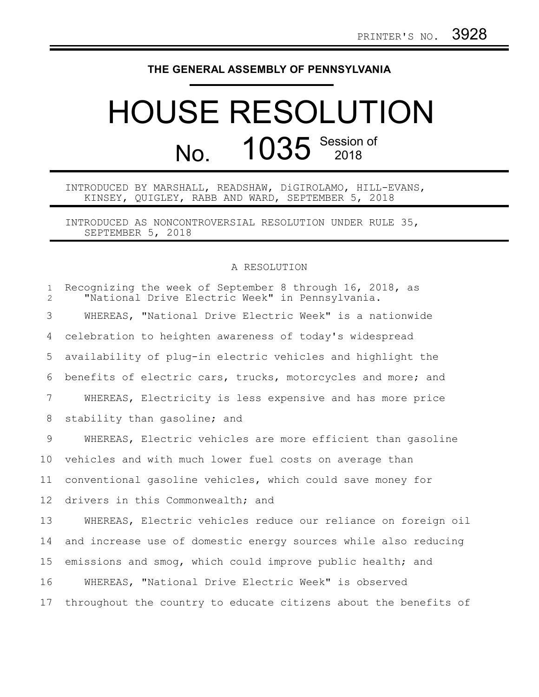## **THE GENERAL ASSEMBLY OF PENNSYLVANIA**

## HOUSE RESOLUTION No. 1035 Session of

## INTRODUCED BY MARSHALL, READSHAW, DiGIROLAMO, HILL-EVANS, KINSEY, QUIGLEY, RABB AND WARD, SEPTEMBER 5, 2018

INTRODUCED AS NONCONTROVERSIAL RESOLUTION UNDER RULE 35, SEPTEMBER 5, 2018

## A RESOLUTION

| $\mathbf{1}$<br>$\overline{2}$ | Recognizing the week of September 8 through 16, 2018, as<br>"National Drive Electric Week" in Pennsylvania. |
|--------------------------------|-------------------------------------------------------------------------------------------------------------|
| 3                              | WHEREAS, "National Drive Electric Week" is a nationwide                                                     |
| 4                              | celebration to heighten awareness of today's widespread                                                     |
| 5                              | availability of plug-in electric vehicles and highlight the                                                 |
| 6                              | benefits of electric cars, trucks, motorcycles and more; and                                                |
| 7                              | WHEREAS, Electricity is less expensive and has more price                                                   |
| 8                              | stability than gasoline; and                                                                                |
| 9                              | WHEREAS, Electric vehicles are more efficient than gasoline                                                 |
| 10                             | vehicles and with much lower fuel costs on average than                                                     |
| 11                             | conventional gasoline vehicles, which could save money for                                                  |
| 12 <sup>°</sup>                | drivers in this Commonwealth; and                                                                           |
| 13                             | WHEREAS, Electric vehicles reduce our reliance on foreign oil                                               |
| 14                             | and increase use of domestic energy sources while also reducing                                             |
| 15                             | emissions and smog, which could improve public health; and                                                  |
| 16                             | WHEREAS, "National Drive Electric Week" is observed                                                         |
| 17                             | throughout the country to educate citizens about the benefits of                                            |